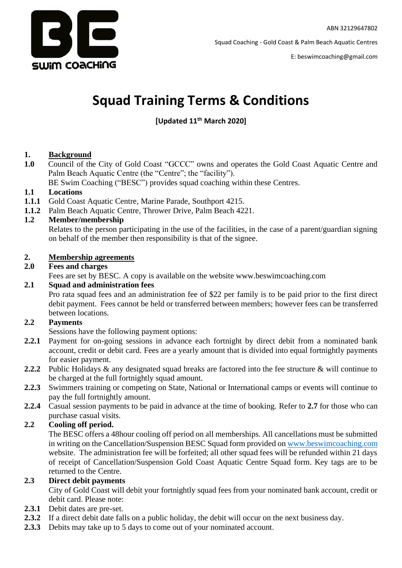

E: beswimcoaching@gmail.com

# **Squad Training Terms & Conditions**

# **[Updated 11th March 2020]**

## **1. Background**

**1.0** Council of the City of Gold Coast "GCCC" owns and operates the Gold Coast Aquatic Centre and Palm Beach Aquatic Centre (the "Centre"; the "facility"). BE Swim Coaching ("BESC") provides squad coaching within these Centres.

**1.1 Locations**

- **1.1.1** Gold Coast Aquatic Centre, Marine Parade, Southport 4215.
- **1.1.2** Palm Beach Aquatic Centre, Thrower Drive, Palm Beach 4221.

## **1.2 Member/membership**

Relates to the person participating in the use of the facilities, in the case of a parent/guardian signing on behalf of the member then responsibility is that of the signee.

#### **2. Membership agreements**

#### **2.0 Fees and charges**

Fees are set by BESC. A copy is available on the website www.beswimcoaching.com

## **2.1 Squad and administration fees**

Pro rata squad fees and an administration fee of \$22 per family is to be paid prior to the first direct debit payment. Fees cannot be held or transferred between members; however fees can be transferred between locations.

## **2.2 Payments**

Sessions have the following payment options:

- **2.2.1** Payment for on-going sessions in advance each fortnight by direct debit from a nominated bank account, credit or debit card. Fees are a yearly amount that is divided into equal fortnightly payments for easier payment.
- **2.2.2** Public Holidays & any designated squad breaks are factored into the fee structure & will continue to be charged at the full fortnightly squad amount.
- **2.2.3** Swimmers training or competing on State, National or International camps or events will continue to pay the full fortnightly amount.
- **2.2.4** Casual session payments to be paid in advance at the time of booking. Refer to **2.7** for those who can purchase casual visits.

## **2.2 Cooling off period.**

The BESC offers a 48hour cooling off period on all memberships. All cancellations must be submitted in writing on the Cancellation/Suspension BESC Squad form provided on [www.beswimcoaching.com](http://www.beswimcoaching.com/) website. The administration fee will be forfeited; all other squad fees will be refunded within 21 days of receipt of Cancellation/Suspension Gold Coast Aquatic Centre Squad form. Key tags are to be returned to the Centre.

#### **2.3 Direct debit payments**

City of Gold Coast will debit your fortnightly squad fees from your nominated bank account, credit or debit card. Please note:

- **2.3.1** Debit dates are pre-set.
- **2.3.2** If a direct debit date falls on a public holiday, the debit will occur on the next business day.
- **2.3.3** Debits may take up to 5 days to come out of your nominated account.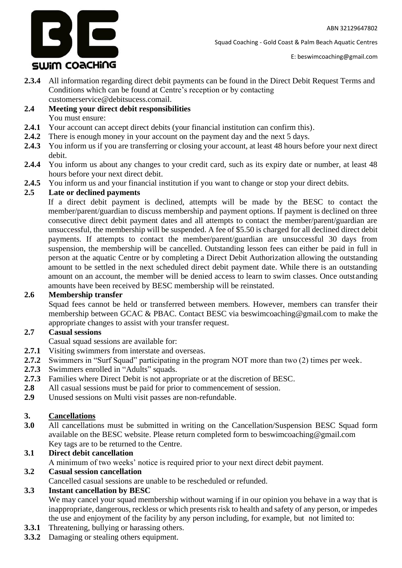3 E SWIM COACHING

Squad Coaching - Gold Coast & Palm Beach Aquatic Centres

- **2.3.4** All information regarding direct debit payments can be found in the Direct Debit Request Terms and Conditions which can be found at Centre's reception or by contacting customerservice@debitsucess.comail.
- **2.4 Meeting your direct debit responsibilities** You must ensure:
- **2.4.1** Your account can accept direct debits (your financial institution can confirm this).
- **2.4.2** There is enough money in your account on the payment day and the next 5 days.
- **2.4.3** You inform us if you are transferring or closing your account, at least 48 hours before your next direct debit.
- **2.4.4** You inform us about any changes to your credit card, such as its expiry date or number, at least 48 hours before your next direct debit.
- **2.4.5** You inform us and your financial institution if you want to change or stop your direct debits.

## **2.5 Late or declined payments**

If a direct debit payment is declined, attempts will be made by the BESC to contact the member/parent/guardian to discuss membership and payment options. If payment is declined on three consecutive direct debit payment dates and all attempts to contact the member/parent/guardian are unsuccessful, the membership will be suspended. A fee of \$5.50 is charged for all declined direct debit payments. If attempts to contact the member/parent/guardian are unsuccessful 30 days from suspension, the membership will be cancelled. Outstanding lesson fees can either be paid in full in person at the aquatic Centre or by completing a Direct Debit Authorization allowing the outstanding amount to be settled in the next scheduled direct debit payment date. While there is an outstanding amount on an account, the member will be denied access to learn to swim classes. Once outstanding amounts have been received by BESC membership will be reinstated.

#### **2.6 Membership transfer**

Squad fees cannot be held or transferred between members. However, members can transfer their membership between GCAC & PBAC. Contact BESC via beswimcoaching@gmail.com to make the appropriate changes to assist with your transfer request.

## **2.7 Casual sessions**

- Casual squad sessions are available for:
- **2.7.1** Visiting swimmers from interstate and overseas.
- **2.7.2** Swimmers in "Surf Squad" participating in the program NOT more than two (2) times per week.
- 2.7.3 Swimmers enrolled in "Adults" squads.
- **2.7.3** Families where Direct Debit is not appropriate or at the discretion of BESC.
- **2.8** All casual sessions must be paid for prior to commencement of session.
- **2.9** Unused sessions on Multi visit passes are non-refundable.

## **3. Cancellations**

**3.0** All cancellations must be submitted in writing on the Cancellation/Suspension BESC Squad form available on the BESC website. Please return completed form to beswimcoaching@gmail.com Key tags are to be returned to the Centre.

## **3.1 Direct debit cancellation**

A minimum of two weeks' notice is required prior to your next direct debit payment.

#### **3.2 Casual session cancellation**

Cancelled casual sessions are unable to be rescheduled or refunded.

## **3.3 Instant cancellation by BESC**

We may cancel your squad membership without warning if in our opinion you behave in a way that is inappropriate, dangerous, reckless or which presents risk to health and safety of any person, or impedes the use and enjoyment of the facility by any person including, for example, but not limited to:

- **3.3.1** Threatening, bullying or harassing others.
- **3.3.2** Damaging or stealing others equipment.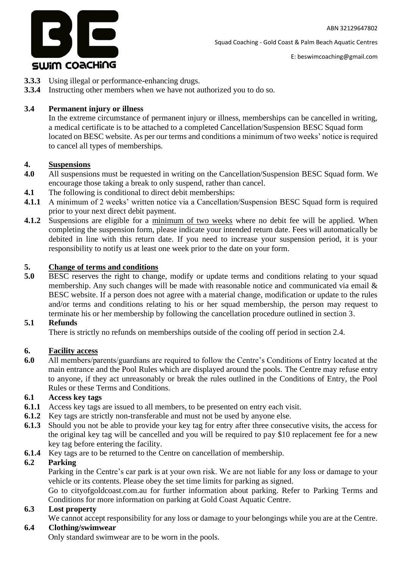

E: beswimcoaching@gmail.com

- **3.3.3** Using illegal or performance-enhancing drugs.
- **3.3.4** Instructing other members when we have not authorized you to do so.

## **3.4 Permanent injury or illness**

In the extreme circumstance of permanent injury or illness, memberships can be cancelled in writing, a medical certificate is to be attached to a completed Cancellation/Suspension BESC Squad form located on BESC website. As per our terms and conditions a minimum of two weeks' notice is required to cancel all types of memberships.

#### **4. Suspensions**

- **4.0** All suspensions must be requested in writing on the Cancellation/Suspension BESC Squad form. We encourage those taking a break to only suspend, rather than cancel.
- **4.1** The following is conditional to direct debit memberships:
- **4.1.1** A minimum of 2 weeks' written notice via a Cancellation/Suspension BESC Squad form is required prior to your next direct debit payment.
- **4.1.2** Suspensions are eligible for a minimum of two weeks where no debit fee will be applied. When completing the suspension form, please indicate your intended return date. Fees will automatically be debited in line with this return date. If you need to increase your suspension period, it is your responsibility to notify us at least one week prior to the date on your form.

#### **5. Change of terms and conditions**

**5.0** BESC reserves the right to change, modify or update terms and conditions relating to your squad membership. Any such changes will be made with reasonable notice and communicated via email & BESC website. If a person does not agree with a material change, modification or update to the rules and/or terms and conditions relating to his or her squad membership, the person may request to terminate his or her membership by following the cancellation procedure outlined in section 3.

#### **5.1 Refunds**

There is strictly no refunds on memberships outside of the cooling off period in section 2.4.

#### **6. Facility access**

**6.0** All members/parents/guardians are required to follow the Centre's Conditions of Entry located at the main entrance and the Pool Rules which are displayed around the pools. The Centre may refuse entry to anyone, if they act unreasonably or break the rules outlined in the Conditions of Entry, the Pool Rules or these Terms and Conditions.

## **6.1 Access key tags**

- **6.1.1** Access key tags are issued to all members, to be presented on entry each visit.
- **6.1.2** Key tags are strictly non-transferable and must not be used by anyone else.
- **6.1.3** Should you not be able to provide your key tag for entry after three consecutive visits, the access for the original key tag will be cancelled and you will be required to pay \$10 replacement fee for a new key tag before entering the facility.
- **6.1.4** Key tags are to be returned to the Centre on cancellation of membership.

#### **6.2 Parking**

Parking in the Centre's car park is at your own risk. We are not liable for any loss or damage to your vehicle or its contents. Please obey the set time limits for parking as signed.

Go to cityofgoldcoast.com.au for further information about parking. Refer to Parking Terms and Conditions for more information on parking at Gold Coast Aquatic Centre.

## **6.3 Lost property**

We cannot accept responsibility for any loss or damage to your belongings while you are at the Centre.

## **6.4 Clothing/swimwear**

Only standard swimwear are to be worn in the pools.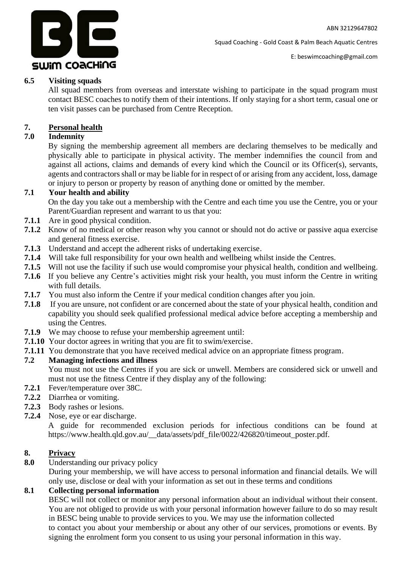

E: beswimcoaching@gmail.com

## **6.5 Visiting squads**

All squad members from overseas and interstate wishing to participate in the squad program must contact BESC coaches to notify them of their intentions. If only staying for a short term, casual one or ten visit passes can be purchased from Centre Reception.

## **7. Personal health**

## **7.0 Indemnity**

By signing the membership agreement all members are declaring themselves to be medically and physically able to participate in physical activity. The member indemnifies the council from and against all actions, claims and demands of every kind which the Council or its Officer(s), servants, agents and contractors shall or may be liable for in respect of or arising from any accident, loss, damage or injury to person or property by reason of anything done or omitted by the member.

## **7.1 Your health and ability**

On the day you take out a membership with the Centre and each time you use the Centre, you or your Parent/Guardian represent and warrant to us that you:

- **7.1.1** Are in good physical condition.
- **7.1.2** Know of no medical or other reason why you cannot or should not do active or passive aqua exercise and general fitness exercise.
- **7.1.3** Understand and accept the adherent risks of undertaking exercise.
- **7.1.4** Will take full responsibility for your own health and wellbeing whilst inside the Centres.
- **7.1.5** Will not use the facility if such use would compromise your physical health, condition and wellbeing.
- **7.1.6** If you believe any Centre's activities might risk your health, you must inform the Centre in writing with full details.
- **7.1.7** You must also inform the Centre if your medical condition changes after you join.
- **7.1.8** If you are unsure, not confident or are concerned about the state of your physical health, condition and capability you should seek qualified professional medical advice before accepting a membership and using the Centres.
- **7.1.9** We may choose to refuse your membership agreement until:
- **7.1.10** Your doctor agrees in writing that you are fit to swim/exercise.
- **7.1.11** You demonstrate that you have received medical advice on an appropriate fitness program.

## **7.2 Managing infections and illness**

You must not use the Centres if you are sick or unwell. Members are considered sick or unwell and must not use the fitness Centre if they display any of the following:

- **7.2.1** Fever/temperature over 38C.
- **7.2.2** Diarrhea or vomiting.
- **7.2.3** Body rashes or lesions.
- **7.2.4** Nose, eye or ear discharge.

A guide for recommended exclusion periods for infectious conditions can be found at https://www.health.qld.gov.au/\_\_data/assets/pdf\_file/0022/426820/timeout\_poster.pdf.

## **8. Privacy**

**8.0** Understanding our privacy policy

During your membership, we will have access to personal information and financial details. We will only use, disclose or deal with your information as set out in these terms and conditions

## **8.1 Collecting personal information**

BESC will not collect or monitor any personal information about an individual without their consent. You are not obliged to provide us with your personal information however failure to do so may result in BESC being unable to provide services to you. We may use the information collected to contact you about your membership or about any other of our services, promotions or events. By signing the enrolment form you consent to us using your personal information in this way.